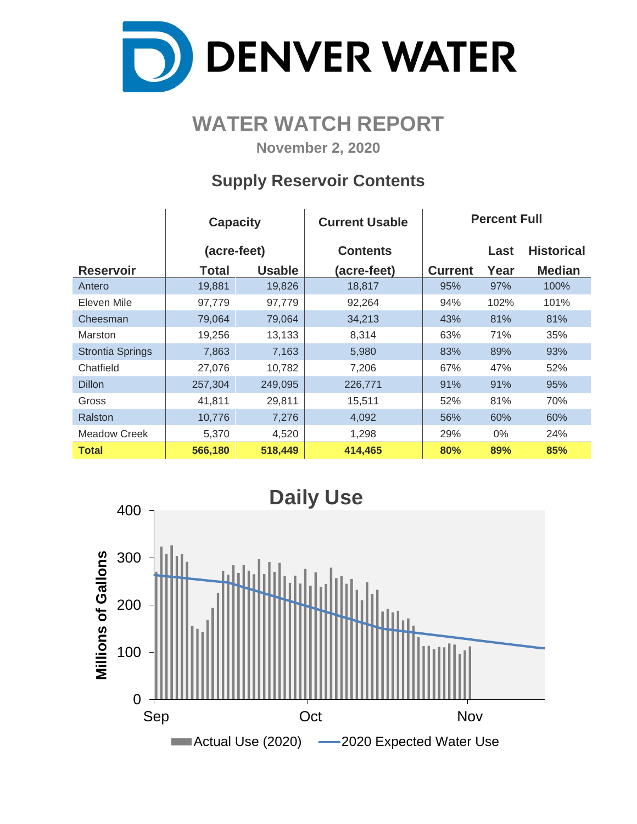

# **WATER WATCH REPORT**

**November 2, 2020**

## **Supply Reservoir Contents**

|                         | <b>Capacity</b> |               | <b>Current Usable</b> | <b>Percent Full</b> |       |                   |  |  |  |
|-------------------------|-----------------|---------------|-----------------------|---------------------|-------|-------------------|--|--|--|
|                         | (acre-feet)     |               | <b>Contents</b>       |                     | Last  | <b>Historical</b> |  |  |  |
| <b>Reservoir</b>        | Total           | <b>Usable</b> | (acre-feet)           | <b>Current</b>      | Year  | <b>Median</b>     |  |  |  |
| Antero                  | 19,881          | 19,826        | 18,817                | 95%                 | 97%   | 100%              |  |  |  |
| Eleven Mile             | 97,779          | 97,779        | 92,264                | 94%                 | 102%  | 101%              |  |  |  |
| Cheesman                | 79,064          | 79,064        | 34,213                | 43%                 | 81%   | 81%               |  |  |  |
| Marston                 | 19,256          | 13,133        | 8,314                 | 63%                 | 71%   | 35%               |  |  |  |
| <b>Strontia Springs</b> | 7,863           | 7,163         | 5,980                 | 83%                 | 89%   | 93%               |  |  |  |
| Chatfield               | 27,076          | 10,782        | 7,206                 | 67%                 | 47%   | 52%               |  |  |  |
| <b>Dillon</b>           | 257,304         | 249,095       | 226,771               | 91%                 | 91%   | 95%               |  |  |  |
| Gross                   | 41,811          | 29,811        | 15,511                | 52%                 | 81%   | 70%               |  |  |  |
| Ralston                 | 10,776          | 7,276         | 4,092                 | 56%                 | 60%   | 60%               |  |  |  |
| Meadow Creek            | 5,370           | 4,520         | 1,298                 | 29%                 | $0\%$ | 24%               |  |  |  |
| <b>Total</b>            | 566,180         | 518,449       | 414,465               | 80%                 | 89%   | 85%               |  |  |  |

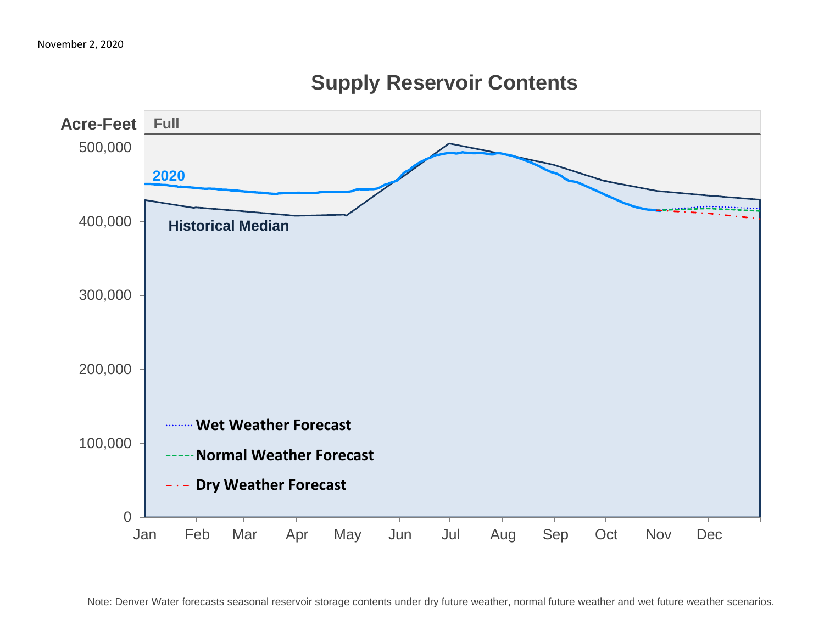

# **Supply Reservoir Contents**

Note: Denver Water forecasts seasonal reservoir storage contents under dry future weather, normal future weather and wet future weather scenarios.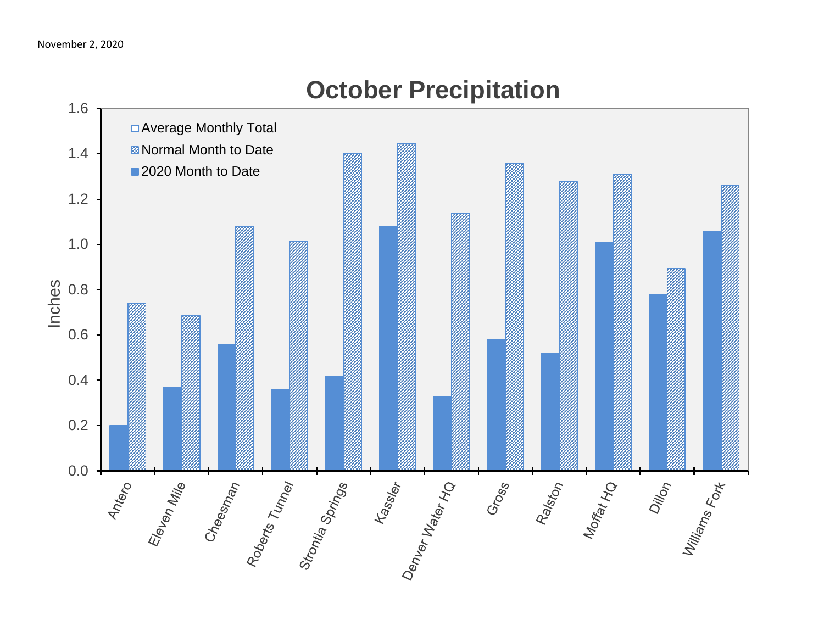

# **October Precipitation**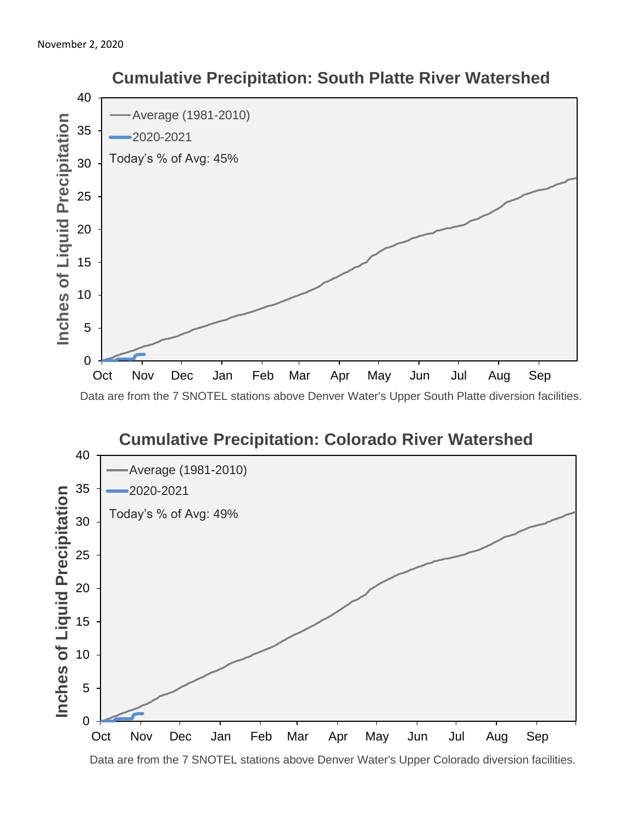



 **Cumulative Precipitation: South Platte River Watershed**

Data are from the 7 SNOTEL stations above Denver Water's Upper Colorado diversion facilities.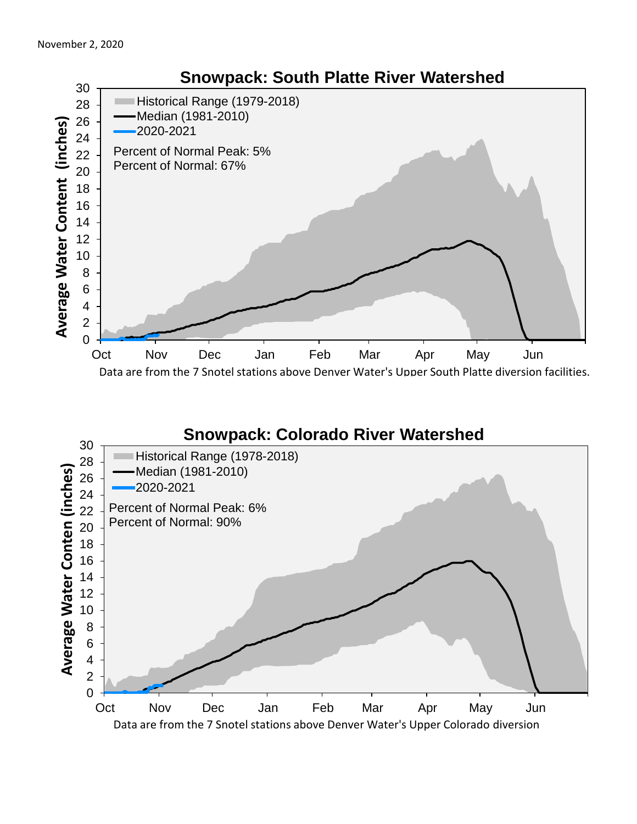

### **Snowpack: Colorado River Watershed**

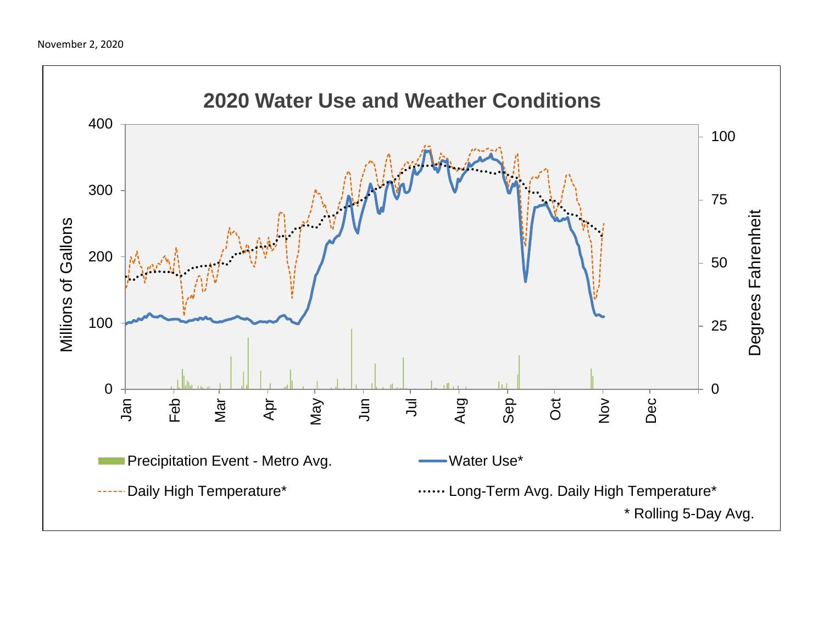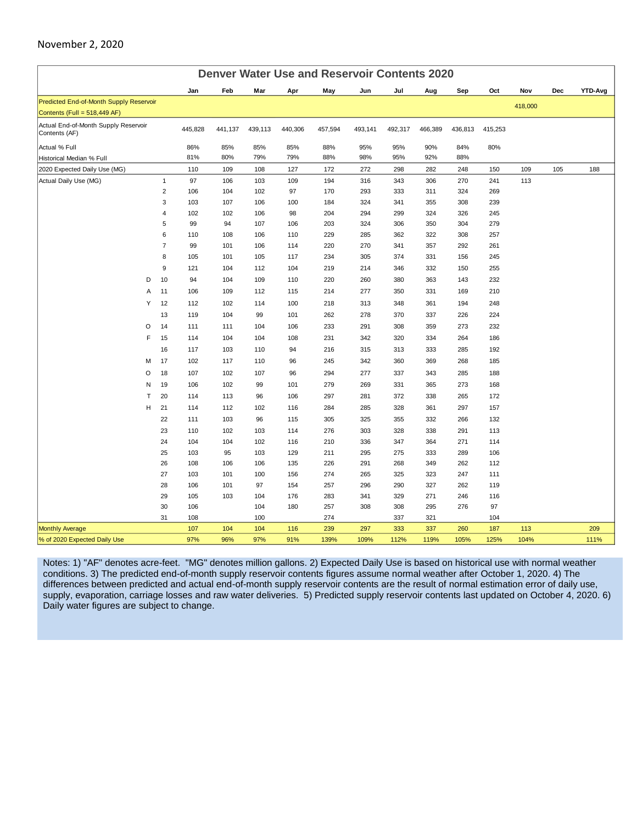#### November 2, 2020

| <b>Denver Water Use and Reservoir Contents 2020</b>   |                |         |         |         |         |         |         |         |         |         |         |         |     |         |
|-------------------------------------------------------|----------------|---------|---------|---------|---------|---------|---------|---------|---------|---------|---------|---------|-----|---------|
|                                                       |                | Jan     | Feb     | Mar     | Apr     | May     | Jun     | Jul     | Aug     | Sep     | Oct     | Nov     | Dec | YTD-Avg |
| Predicted End-of-Month Supply Reservoir               |                |         |         |         |         |         |         |         |         |         |         | 418,000 |     |         |
| Contents (Full = 518,449 AF)                          |                |         |         |         |         |         |         |         |         |         |         |         |     |         |
| Actual End-of-Month Supply Reservoir<br>Contents (AF) |                | 445,828 | 441,137 | 439,113 | 440,306 | 457,594 | 493,141 | 492,317 | 466,389 | 436,813 | 415,253 |         |     |         |
| Actual % Full                                         |                | 86%     | 85%     | 85%     | 85%     | 88%     | 95%     | 95%     | 90%     | 84%     | 80%     |         |     |         |
| Historical Median % Full                              |                | 81%     | 80%     | 79%     | 79%     | 88%     | 98%     | 95%     | 92%     | 88%     |         |         |     |         |
| 2020 Expected Daily Use (MG)                          |                | 110     | 109     | 108     | 127     | 172     | 272     | 298     | 282     | 248     | 150     | 109     | 105 | 188     |
| Actual Daily Use (MG)                                 | $\mathbf{1}$   | 97      | 106     | 103     | 109     | 194     | 316     | 343     | 306     | 270     | 241     | 113     |     |         |
|                                                       | $\overline{2}$ | 106     | 104     | 102     | 97      | 170     | 293     | 333     | 311     | 324     | 269     |         |     |         |
|                                                       | 3              | 103     | 107     | 106     | 100     | 184     | 324     | 341     | 355     | 308     | 239     |         |     |         |
|                                                       | $\overline{4}$ | 102     | 102     | 106     | 98      | 204     | 294     | 299     | 324     | 326     | 245     |         |     |         |
|                                                       | 5              | 99      | 94      | 107     | 106     | 203     | 324     | 306     | 350     | 304     | 279     |         |     |         |
|                                                       | 6              | 110     | 108     | 106     | 110     | 229     | 285     | 362     | 322     | 308     | 257     |         |     |         |
|                                                       | $\overline{7}$ | 99      | 101     | 106     | 114     | 220     | 270     | 341     | 357     | 292     | 261     |         |     |         |
|                                                       | 8              | 105     | 101     | 105     | 117     | 234     | 305     | 374     | 331     | 156     | 245     |         |     |         |
|                                                       | 9              | 121     | 104     | 112     | 104     | 219     | 214     | 346     | 332     | 150     | 255     |         |     |         |
| D                                                     | 10             | 94      | 104     | 109     | 110     | 220     | 260     | 380     | 363     | 143     | 232     |         |     |         |
| A                                                     | 11             | 106     | 109     | 112     | 115     | 214     | 277     | 350     | 331     | 169     | 210     |         |     |         |
| Υ                                                     | 12             | 112     | 102     | 114     | 100     | 218     | 313     | 348     | 361     | 194     | 248     |         |     |         |
|                                                       | 13             | 119     | 104     | 99      | 101     | 262     | 278     | 370     | 337     | 226     | 224     |         |     |         |
| $\circ$                                               | 14             | 111     | 111     | 104     | 106     | 233     | 291     | 308     | 359     | 273     | 232     |         |     |         |
| F                                                     | 15             | 114     | 104     | 104     | 108     | 231     | 342     | 320     | 334     | 264     | 186     |         |     |         |
|                                                       | 16             | 117     | 103     | 110     | 94      | 216     | 315     | 313     | 333     | 285     | 192     |         |     |         |
| M                                                     | 17             | 102     | 117     | 110     | 96      | 245     | 342     | 360     | 369     | 268     | 185     |         |     |         |
| O                                                     | 18             | 107     | 102     | 107     | 96      | 294     | 277     | 337     | 343     | 285     | 188     |         |     |         |
| N                                                     | 19             | 106     | 102     | 99      | 101     | 279     | 269     | 331     | 365     | 273     | 168     |         |     |         |
| $\mathsf{T}$                                          | 20             | 114     | 113     | 96      | 106     | 297     | 281     | 372     | 338     | 265     | 172     |         |     |         |
| н                                                     | 21             | 114     | 112     | 102     | 116     | 284     | 285     | 328     | 361     | 297     | 157     |         |     |         |
|                                                       | 22             | 111     | 103     | 96      | 115     | 305     | 325     | 355     | 332     | 266     | 132     |         |     |         |
|                                                       | 23             | 110     | 102     | 103     | 114     | 276     | 303     | 328     | 338     | 291     | 113     |         |     |         |
|                                                       | 24             | 104     | 104     | 102     | 116     | 210     | 336     | 347     | 364     | 271     | 114     |         |     |         |
|                                                       | 25             | 103     | 95      | 103     | 129     | 211     | 295     | 275     | 333     | 289     | 106     |         |     |         |
|                                                       | 26             | 108     | 106     | 106     | 135     | 226     | 291     | 268     | 349     | 262     | 112     |         |     |         |
|                                                       | 27             | 103     | 101     | 100     | 156     | 274     | 265     | 325     | 323     | 247     | 111     |         |     |         |
|                                                       | 28             | 106     | 101     | 97      | 154     | 257     | 296     | 290     | 327     | 262     | 119     |         |     |         |
|                                                       | 29             | 105     | 103     | 104     | 176     | 283     | 341     | 329     | 271     | 246     | 116     |         |     |         |
|                                                       | 30             | 106     |         | 104     | 180     | 257     | 308     | 308     | 295     | 276     | 97      |         |     |         |
|                                                       | 31             | 108     |         | 100     |         | 274     |         | 337     | 321     |         | 104     |         |     |         |
| <b>Monthly Average</b>                                |                | 107     | 104     | 104     | 116     | 239     | 297     | 333     | 337     | 260     | 187     | 113     |     | 209     |
| % of 2020 Expected Daily Use                          |                | 97%     | 96%     | 97%     | 91%     | 139%    | 109%    | 112%    | 119%    | 105%    | 125%    | 104%    |     | 111%    |

Notes: 1) "AF" denotes acre-feet. "MG" denotes million gallons. 2) Expected Daily Use is based on historical use with normal weather conditions. 3) The predicted end-of-month supply reservoir contents figures assume normal weather after October 1, 2020. 4) The differences between predicted and actual end-of-month supply reservoir contents are the result of normal estimation error of daily use, supply, evaporation, carriage losses and raw water deliveries. 5) Predicted supply reservoir contents last updated on October 4, 2020. 6) Daily water figures are subject to change.